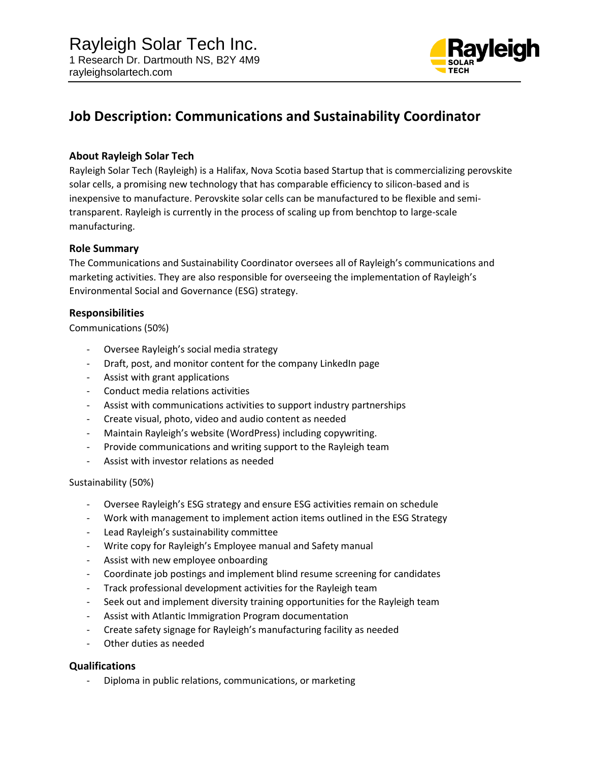

# **Job Description: Communications and Sustainability Coordinator**

## **About Rayleigh Solar Tech**

Rayleigh Solar Tech (Rayleigh) is a Halifax, Nova Scotia based Startup that is commercializing perovskite solar cells, a promising new technology that has comparable efficiency to silicon-based and is inexpensive to manufacture. Perovskite solar cells can be manufactured to be flexible and semitransparent. Rayleigh is currently in the process of scaling up from benchtop to large-scale manufacturing.

## **Role Summary**

The Communications and Sustainability Coordinator oversees all of Rayleigh's communications and marketing activities. They are also responsible for overseeing the implementation of Rayleigh's Environmental Social and Governance (ESG) strategy.

### **Responsibilities**

Communications (50%)

- Oversee Rayleigh's social media strategy
- Draft, post, and monitor content for the company LinkedIn page
- Assist with grant applications
- Conduct media relations activities
- Assist with communications activities to support industry partnerships
- Create visual, photo, video and audio content as needed
- Maintain Rayleigh's website (WordPress) including copywriting.
- Provide communications and writing support to the Rayleigh team
- Assist with investor relations as needed

#### Sustainability (50%)

- Oversee Rayleigh's ESG strategy and ensure ESG activities remain on schedule
- Work with management to implement action items outlined in the ESG Strategy
- Lead Rayleigh's sustainability committee
- Write copy for Rayleigh's Employee manual and Safety manual
- Assist with new employee onboarding
- Coordinate job postings and implement blind resume screening for candidates
- Track professional development activities for the Rayleigh team
- Seek out and implement diversity training opportunities for the Rayleigh team
- Assist with Atlantic Immigration Program documentation
- Create safety signage for Rayleigh's manufacturing facility as needed
- Other duties as needed

## **Qualifications**

- Diploma in public relations, communications, or marketing